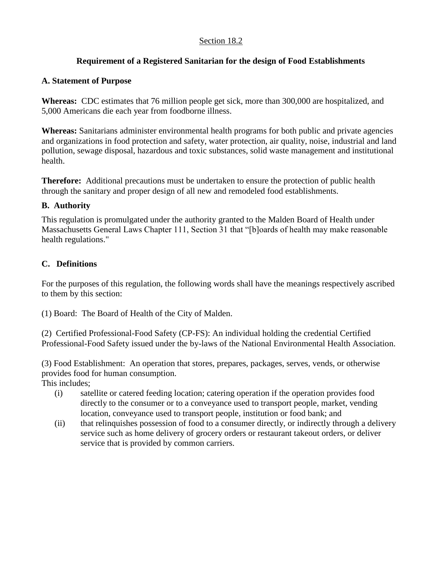#### Section 18.2

# **Requirement of a Registered Sanitarian for the design of Food Establishments**

### **A. Statement of Purpose**

**Whereas:** CDC estimates that 76 million people get sick, more than 300,000 are hospitalized, and 5,000 Americans die each year from foodborne illness.

**Whereas:** Sanitarians administer environmental health programs for both public and private agencies and organizations in food protection and safety, water protection, air quality, noise, industrial and land pollution, sewage disposal, hazardous and toxic substances, solid waste management and institutional health.

**Therefore:** Additional precautions must be undertaken to ensure the protection of public health through the sanitary and proper design of all new and remodeled food establishments.

## **B. Authority**

This regulation is promulgated under the authority granted to the Malden Board of Health under Massachusetts General Laws Chapter 111, Section 31 that "[b]oards of health may make reasonable health regulations."

## **C. Definitions**

For the purposes of this regulation, the following words shall have the meanings respectively ascribed to them by this section:

(1) Board: The Board of Health of the City of Malden.

(2) Certified Professional-Food Safety (CP-FS): An individual holding the credential Certified Professional-Food Safety issued under the by-laws of the National Environmental Health Association.

(3) Food Establishment: An operation that stores, prepares, packages, serves, vends, or otherwise provides food for human consumption.

This includes;

- (i) satellite or catered feeding location; catering operation if the operation provides food directly to the consumer or to a conveyance used to transport people, market, vending location, conveyance used to transport people, institution or food bank; and
- (ii) that relinquishes possession of food to a consumer directly, or indirectly through a delivery service such as home delivery of grocery orders or restaurant takeout orders, or deliver service that is provided by common carriers.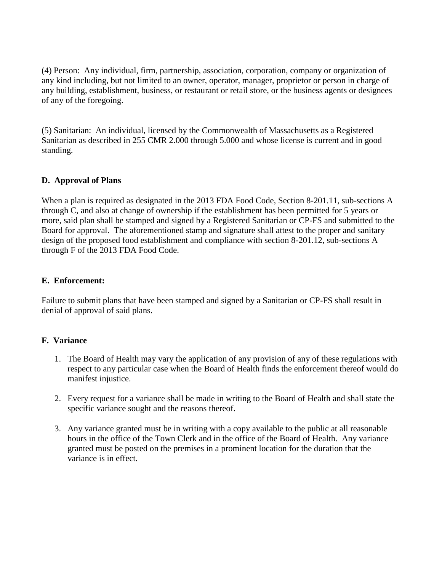(4) Person: Any individual, firm, partnership, association, corporation, company or organization of any kind including, but not limited to an owner, operator, manager, proprietor or person in charge of any building, establishment, business, or restaurant or retail store, or the business agents or designees of any of the foregoing.

(5) Sanitarian: An individual, licensed by the Commonwealth of Massachusetts as a Registered Sanitarian as described in 255 CMR 2.000 through 5.000 and whose license is current and in good standing.

### **D. Approval of Plans**

When a plan is required as designated in the 2013 FDA Food Code, Section 8-201.11, sub-sections A through C, and also at change of ownership if the establishment has been permitted for 5 years or more, said plan shall be stamped and signed by a Registered Sanitarian or CP-FS and submitted to the Board for approval. The aforementioned stamp and signature shall attest to the proper and sanitary design of the proposed food establishment and compliance with section 8-201.12, sub-sections A through F of the 2013 FDA Food Code.

### **E. Enforcement:**

Failure to submit plans that have been stamped and signed by a Sanitarian or CP-FS shall result in denial of approval of said plans.

## **F. Variance**

- 1. The Board of Health may vary the application of any provision of any of these regulations with respect to any particular case when the Board of Health finds the enforcement thereof would do manifest injustice.
- 2. Every request for a variance shall be made in writing to the Board of Health and shall state the specific variance sought and the reasons thereof.
- 3. Any variance granted must be in writing with a copy available to the public at all reasonable hours in the office of the Town Clerk and in the office of the Board of Health. Any variance granted must be posted on the premises in a prominent location for the duration that the variance is in effect.